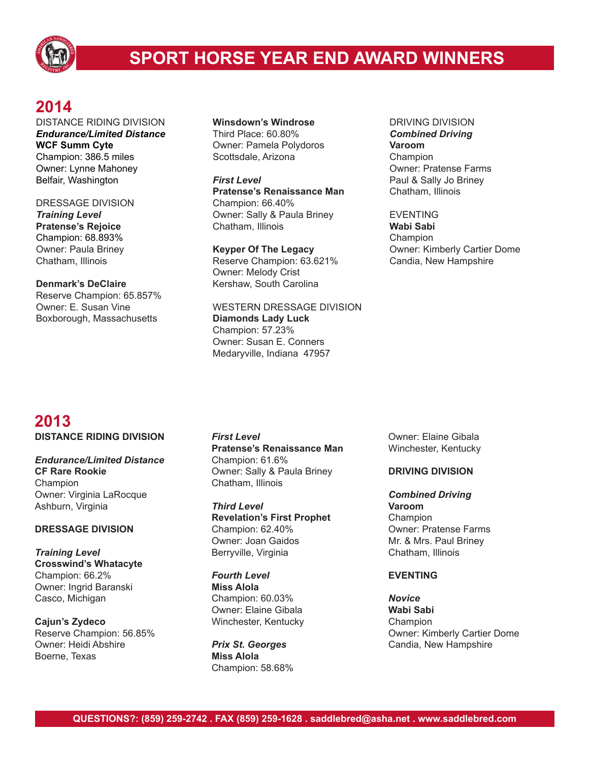

# **SPORT HORSE YEAR END AWARD WINNERS**

## **2014**

DISTANCE RIDING DIVISION *Endurance/Limited Distance* **WCF Summ Cyte** Champion: 386.5 miles Owner: Lynne Mahoney Belfair, Washington

DRESSAGE DIVISION *Training Level* **Pratense's Rejoice** Champion: 68.893% Owner: Paula Briney Chatham, Illinois

**Denmark's DeClaire** Reserve Champion: 65.857% Owner: E. Susan Vine Boxborough, Massachusetts

#### **Winsdown's Windrose** Third Place: 60.80% Owner: Pamela Polydoros Scottsdale, Arizona

*First Level* **Pratense's Renaissance Man** Champion: 66.40% Owner: Sally & Paula Briney Chatham, Illinois

**Keyper Of The Legacy** Reserve Champion: 63.621% Owner: Melody Crist Kershaw, South Carolina

WESTERN DRESSAGE DIVISION **Diamonds Lady Luck** Champion: 57.23% Owner: Susan E. Conners Medaryville, Indiana 47957

DRIVING DIVISION *Combined Driving* **Varoom** Champion Owner: Pratense Farms Paul & Sally Jo Briney Chatham, Illinois

### EVENTING

**Wabi Sabi** Champion Owner: Kimberly Cartier Dome Candia, New Hampshire

### **2013 DISTANCE RIDING DIVISION**

*Endurance/Limited Distance* **CF Rare Rookie** Champion Owner: Virginia LaRocque Ashburn, Virginia

### **DRESSAGE DIVISION**

*Training Level* **Crosswind's Whatacyte** Champion: 66.2% Owner: Ingrid Baranski Casco, Michigan

**Cajun's Zydeco** Reserve Champion: 56.85% Owner: Heidi Abshire Boerne, Texas

*First Level* **Pratense's Renaissance Man** Champion: 61.6% Owner: Sally & Paula Briney Chatham, Illinois

*Third Level* **Revelation's First Prophet** Champion: 62.40% Owner: Joan Gaidos Berryville, Virginia

*Fourth Level* **Miss Alola** Champion: 60.03% Owner: Elaine Gibala Winchester, Kentucky

*Prix St. Georges* **Miss Alola** Champion: 58.68% Owner: Elaine Gibala Winchester, Kentucky

### **DRIVING DIVISION**

*Combined Driving* **Varoom** Champion Owner: Pratense Farms Mr. & Mrs. Paul Briney Chatham, Illinois

### **EVENTING**

*Novice* **Wabi Sabi** Champion Owner: Kimberly Cartier Dome Candia, New Hampshire